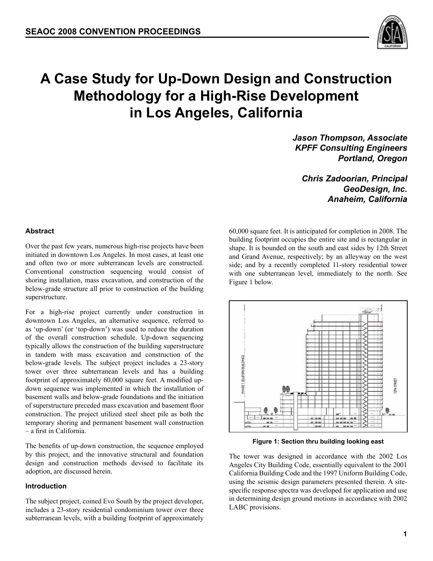

# **A Case Study for Up-Down Design and Construction Methodology for a High-Rise Development in Los Angeles, California**

*Jason Thompson, Associate KPFF Consulting Engineers Portland, Oregon*

*Chris Zadoorian, Principal GeoDesign, Inc. Anaheim, California*

**Abstract**

Over the past few years, numerous high-rise projects have been initiated in downtown Los Angeles. In most cases, at least one and often two or more subterranean levels are constructed. Conventional construction sequencing would consist of shoring installation, mass excavation, and construction of the below-grade structure all prior to construction of the building superstructure.

For a high-rise project currently under construction in downtown Los Angeles, an alternative sequence, referred to as 'up-down' (or 'top-down') was used to reduce the duration of the overall construction schedule. Up-down sequencing typically allows the construction of the building superstructure in tandem with mass excavation and construction of the below-grade levels. The subject project includes a 23-story tower over three subterranean levels and has a building footprint of approximately 60,000 square feet. A modified updown sequence was implemented in which the installation of basement walls and below-grade foundations and the initiation of superstructure preceded mass excavation and basement floor construction. The project utilized steel sheet pile as both the temporary shoring and permanent basement wall construction – a first in California.

The benefits of up-down construction, the sequence employed by this project, and the innovative structural and foundation design and construction methods devised to facilitate its adoption, are discussed herein.

#### **Introduction**

The subject project, coined Evo South by the project developer, includes a 23-story residential condominium tower over three subterranean levels, with a building footprint of approximately

60,000 square feet. It is anticipated for completion in 2008. The building footprint occupies the entire site and is rectangular in shape. It is bounded on the south and east sides by 12th Street and Grand Avenue, respectively; by an alleyway on the west side; and by a recently completed 11-story residential tower with one subterranean level, immediately to the north. See Figure 1 below.



**Figure 1: Section thru building looking east**

The tower was designed in accordance with the 2002 Los Angeles City Building Code, essentially equivalent to the 2001 California Building Code and the 1997 Uniform Building Code, using the seismic design parameters presented therein. A sitespecific response spectra was developed for application and use in determining design ground motions in accordance with 2002 LABC provisions.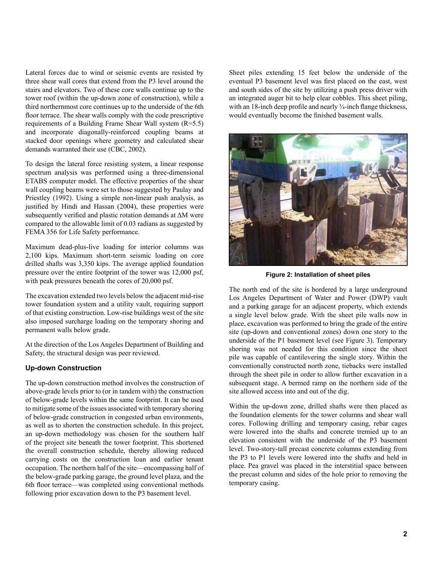Lateral forces due to wind or seismic events are resisted by three shear wall cores that extend from the P3 level around the stairs and elevators. Two of these core walls continue up to the tower roof (within the up-down zone of construction), while a third northernmost core continues up to the underside of the 6th floor terrace. The shear walls comply with the code prescriptive requirements of a Building Frame Shear Wall system (R=5.5) and incorporate diagonally-reinforced coupling beams at stacked door openings where geometry and calculated shear demands warranted their use (CBC, 2002).

To design the lateral force resisting system, a linear response spectrum analysis was performed using a three-dimensional ETABS computer model. The effective properties of the shear wall coupling beams were set to those suggested by Paulay and Priestley (1992). Using a simple non-linear push analysis, as justified by Hindi and Hassan (2004), these properties were subsequently verified and plastic rotation demands at ΔM were compared to the allowable limit of 0.03 radians as suggested by FEMA 356 for Life Safety performance.

Maximum dead-plus-live loading for interior columns was 2,100 kips. Maximum short-term seismic loading on core drilled shafts was 3,350 kips. The average applied foundation pressure over the entire footprint of the tower was 12,000 psf, with peak pressures beneath the cores of 20,000 psf.

The excavation extended two levels below the adjacent mid-rise tower foundation system and a utility vault, requiring support of that existing construction. Low-rise buildings west of the site also imposed surcharge loading on the temporary shoring and permanent walls below grade.

At the direction of the Los Angeles Department of Building and Safety, the structural design was peer reviewed.

## **Up-down Construction**

The up-down construction method involves the construction of above-grade levels prior to (or in tandem with) the construction of below-grade levels within the same footprint. It can be used to mitigate some of the issues associated with temporary shoring of below-grade construction in congested urban environments, as well as to shorten the construction schedule. In this project, an up-down methodology was chosen for the southern half of the project site beneath the tower footprint. This shortened the overall construction schedule, thereby allowing reduced carrying costs on the construction loan and earlier tenant occupation. The northern half of the site—encompassing half of the below-grade parking garage, the ground level plaza, and the 6th floor terrace—was completed using conventional methods following prior excavation down to the P3 basement level.

Sheet piles extending 15 feet below the underside of the eventual P3 basement level was first placed on the east, west and south sides of the site by utilizing a push press driver with an integrated auger bit to help clear cobbles. This sheet piling, with an 18-inch deep profile and nearly <sup>3</sup>/<sub>4</sub>-inch flange thickness, would eventually become the finished basement walls.



**Figure 2: Installation of sheet piles**

The north end of the site is bordered by a large underground Los Angeles Department of Water and Power (DWP) vault and a parking garage for an adjacent property, which extends a single level below grade. With the sheet pile walls now in place, excavation was performed to bring the grade of the entire site (up-down and conventional zones) down one story to the underside of the P1 basement level (see Figure 3). Temporary shoring was not needed for this condition since the sheet pile was capable of cantilevering the single story. Within the conventionally constructed north zone, tiebacks were installed through the sheet pile in order to allow further excavation in a subsequent stage. A bermed ramp on the northern side of the site allowed access into and out of the dig.

Within the up-down zone, drilled shafts were then placed as the foundation elements for the tower columns and shear wall cores. Following drilling and temporary casing, rebar cages were lowered into the shafts and concrete tremied up to an elevation consistent with the underside of the P3 basement level. Two-story-tall precast concrete columns extending from the P3 to P1 levels were lowered into the shafts and held in place. Pea gravel was placed in the interstitial space between the precast column and sides of the hole prior to removing the temporary casing.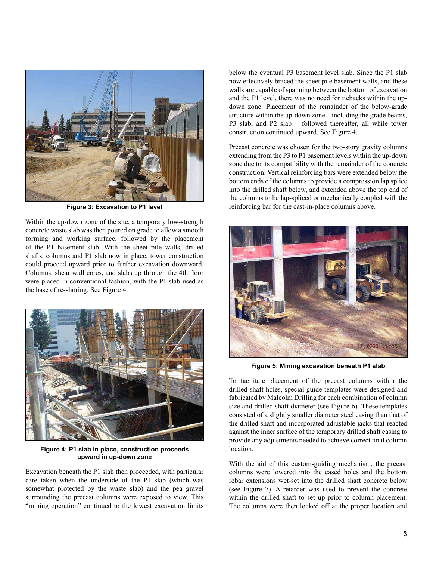

**Figure 3: Excavation to P1 level**

Within the up-down zone of the site, a temporary low-strength concrete waste slab was then poured on grade to allow a smooth forming and working surface, followed by the placement of the P1 basement slab. With the sheet pile walls, drilled shafts, columns and P1 slab now in place, tower construction could proceed upward prior to further excavation downward. Columns, shear wall cores, and slabs up through the 4th floor were placed in conventional fashion, with the P1 slab used as the base of re-shoring. See Figure 4.



**Figure 4: P1 slab in place, construction proceeds upward in up-down zone**

Excavation beneath the P1 slab then proceeded, with particular care taken when the underside of the P1 slab (which was somewhat protected by the waste slab) and the pea gravel surrounding the precast columns were exposed to view. This "mining operation" continued to the lowest excavation limits

below the eventual P3 basement level slab. Since the P1 slab now effectively braced the sheet pile basement walls, and these walls are capable of spanning between the bottom of excavation and the P1 level, there was no need for tiebacks within the updown zone. Placement of the remainder of the below-grade structure within the up-down zone – including the grade beams, P3 slab, and P2 slab – followed thereafter, all while tower construction continued upward. See Figure 4.

Precast concrete was chosen for the two-story gravity columns extending from the P3 to P1 basement levels within the up-down zone due to its compatibility with the remainder of the concrete construction. Vertical reinforcing bars were extended below the bottom ends of the columns to provide a compression lap splice into the drilled shaft below, and extended above the top end of the columns to be lap-spliced or mechanically coupled with the reinforcing bar for the cast-in-place columns above.



**Figure 5: Mining excavation beneath P1 slab**

To facilitate placement of the precast columns within the drilled shaft holes, special guide templates were designed and fabricated by Malcolm Drilling for each combination of column size and drilled shaft diameter (see Figure 6). These templates consisted of a slightly smaller diameter steel casing than that of the drilled shaft and incorporated adjustable jacks that reacted against the inner surface of the temporary drilled shaft casing to provide any adjustments needed to achieve correct final column location.

With the aid of this custom-guiding mechanism, the precast columns were lowered into the cased holes and the bottom rebar extensions wet-set into the drilled shaft concrete below (see Figure 7). A retarder was used to prevent the concrete within the drilled shaft to set up prior to column placement. The columns were then locked off at the proper location and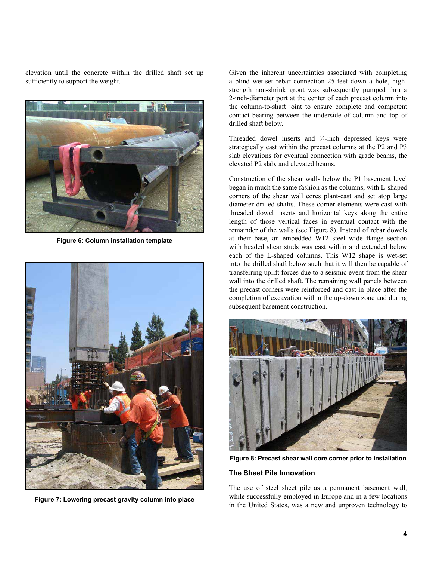elevation until the concrete within the drilled shaft set up sufficiently to support the weight.



**Figure 6: Column installation template**



**Figure 7: Lowering precast gravity column into place**

Given the inherent uncertainties associated with completing a blind wet-set rebar connection 25-feet down a hole, highstrength non-shrink grout was subsequently pumped thru a 2-inch-diameter port at the center of each precast column into the column-to-shaft joint to ensure complete and competent contact bearing between the underside of column and top of drilled shaft below.

Threaded dowel inserts and ¾-inch depressed keys were strategically cast within the precast columns at the P2 and P3 slab elevations for eventual connection with grade beams, the elevated P2 slab, and elevated beams.

Construction of the shear walls below the P1 basement level began in much the same fashion as the columns, with L-shaped corners of the shear wall cores plant-cast and set atop large diameter drilled shafts. These corner elements were cast with threaded dowel inserts and horizontal keys along the entire length of those vertical faces in eventual contact with the remainder of the walls (see Figure 8). Instead of rebar dowels at their base, an embedded W12 steel wide flange section with headed shear studs was cast within and extended below each of the L-shaped columns. This W12 shape is wet-set into the drilled shaft below such that it will then be capable of transferring uplift forces due to a seismic event from the shear wall into the drilled shaft. The remaining wall panels between the precast corners were reinforced and cast in place after the completion of excavation within the up-down zone and during subsequent basement construction.



**Figure 8: Precast shear wall core corner prior to installation**

## **The Sheet Pile Innovation**

The use of steel sheet pile as a permanent basement wall, while successfully employed in Europe and in a few locations in the United States, was a new and unproven technology to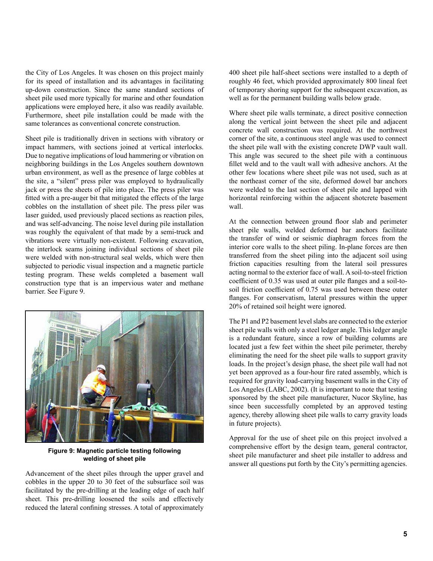the City of Los Angeles. It was chosen on this project mainly for its speed of installation and its advantages in facilitating up-down construction. Since the same standard sections of sheet pile used more typically for marine and other foundation applications were employed here, it also was readily available. Furthermore, sheet pile installation could be made with the same tolerances as conventional concrete construction.

Sheet pile is traditionally driven in sections with vibratory or impact hammers, with sections joined at vertical interlocks. Due to negative implications of loud hammering or vibration on neighboring buildings in the Los Angeles southern downtown urban environment, as well as the presence of large cobbles at the site, a "silent" press piler was employed to hydraulically jack or press the sheets of pile into place. The press piler was fitted with a pre-auger bit that mitigated the effects of the large cobbles on the installation of sheet pile. The press piler was laser guided, used previously placed sections as reaction piles, and was self-advancing. The noise level during pile installation was roughly the equivalent of that made by a semi-truck and vibrations were virtually non-existent. Following excavation, the interlock seams joining individual sections of sheet pile were welded with non-structural seal welds, which were then subjected to periodic visual inspection and a magnetic particle testing program. These welds completed a basement wall construction type that is an impervious water and methane barrier. See Figure 9.



**Figure 9: Magnetic particle testing following welding of sheet pile**

Advancement of the sheet piles through the upper gravel and cobbles in the upper 20 to 30 feet of the subsurface soil was facilitated by the pre-drilling at the leading edge of each half sheet. This pre-drilling loosened the soils and effectively reduced the lateral confining stresses. A total of approximately 400 sheet pile half-sheet sections were installed to a depth of roughly 46 feet, which provided approximately 800 lineal feet of temporary shoring support for the subsequent excavation, as well as for the permanent building walls below grade.

Where sheet pile walls terminate, a direct positive connection along the vertical joint between the sheet pile and adjacent concrete wall construction was required. At the northwest corner of the site, a continuous steel angle was used to connect the sheet pile wall with the existing concrete DWP vault wall. This angle was secured to the sheet pile with a continuous fillet weld and to the vault wall with adhesive anchors. At the other few locations where sheet pile was not used, such as at the northeast corner of the site, deformed dowel bar anchors were welded to the last section of sheet pile and lapped with horizontal reinforcing within the adjacent shotcrete basement wall.

At the connection between ground floor slab and perimeter sheet pile walls, welded deformed bar anchors facilitate the transfer of wind or seismic diaphragm forces from the interior core walls to the sheet piling. In-plane forces are then transferred from the sheet piling into the adjacent soil using friction capacities resulting from the lateral soil pressures acting normal to the exterior face of wall. A soil-to-steel friction coefficient of 0.35 was used at outer pile flanges and a soil-tosoil friction coefficient of 0.75 was used between these outer flanges. For conservatism, lateral pressures within the upper 20% of retained soil height were ignored.

The P1 and P2 basement level slabs are connected to the exterior sheet pile walls with only a steel ledger angle. This ledger angle is a redundant feature, since a row of building columns are located just a few feet within the sheet pile perimeter, thereby eliminating the need for the sheet pile walls to support gravity loads. In the project's design phase, the sheet pile wall had not yet been approved as a four-hour fire rated assembly, which is required for gravity load-carrying basement walls in the City of Los Angeles (LABC, 2002). (It is important to note that testing sponsored by the sheet pile manufacturer, Nucor Skyline, has since been successfully completed by an approved testing agency, thereby allowing sheet pile walls to carry gravity loads in future projects).

Approval for the use of sheet pile on this project involved a comprehensive effort by the design team, general contractor, sheet pile manufacturer and sheet pile installer to address and answer all questions put forth by the City's permitting agencies.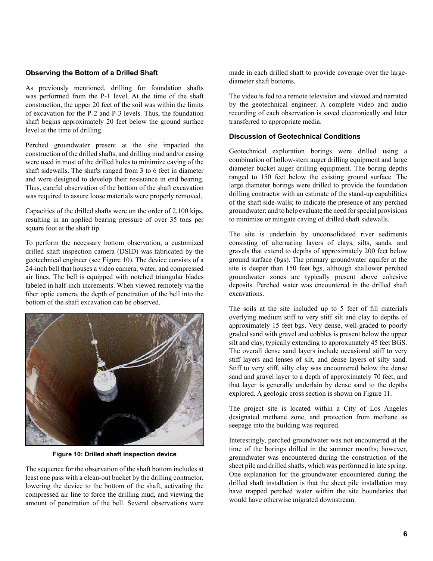## **Observing the Bottom of a Drilled Shaft**

As previously mentioned, drilling for foundation shafts was performed from the P-1 level. At the time of the shaft construction, the upper 20 feet of the soil was within the limits of excavation for the P-2 and P-3 levels. Thus, the foundation shaft begins approximately 20 feet below the ground surface level at the time of drilling.

Perched groundwater present at the site impacted the construction of the drilled shafts, and drilling mud and/or casing were used in most of the drilled holes to minimize caving of the shaft sidewalls. The shafts ranged from 3 to 6 feet in diameter and were designed to develop their resistance in end bearing. Thus, careful observation of the bottom of the shaft excavation was required to assure loose materials were properly removed.

Capacities of the drilled shafts were on the order of 2,100 kips, resulting in an applied bearing pressure of over 35 tons per square foot at the shaft tip.

To perform the necessary bottom observation, a customized drilled shaft inspection camera (DSID) was fabricated by the geotechnical engineer (see Figure 10). The device consists of a 24-inch bell that houses a video camera, water, and compressed air lines. The bell is equipped with notched triangular blades labeled in half-inch increments. When viewed remotely via the fiber optic camera, the depth of penetration of the bell into the bottom of the shaft excavation can be observed.



**Figure 10: Drilled shaft inspection device**

The sequence for the observation of the shaft bottom includes at least one pass with a clean-out bucket by the drilling contractor, lowering the device to the bottom of the shaft, activating the compressed air line to force the drilling mud, and viewing the amount of penetration of the bell. Several observations were

made in each drilled shaft to provide coverage over the largediameter shaft bottoms.

The video is fed to a remote television and viewed and narrated by the geotechnical engineer. A complete video and audio recording of each observation is saved electronically and later transferred to appropriate media.

## **Discussion of Geotechnical Conditions**

Geotechnical exploration borings were drilled using a combination of hollow-stem auger drilling equipment and large diameter bucket auger drilling equipment. The boring depths ranged to 150 feet below the existing ground surface. The large diameter borings were drilled to provide the foundation drilling contractor with an estimate of the stand-up capabilities of the shaft side-walls; to indicate the presence of any perched groundwater; and to help evaluate the need for special provisions to minimize or mitigate caving of drilled shaft sidewalls.

The site is underlain by unconsolidated river sediments consisting of alternating layers of clays, silts, sands, and gravels that extend to depths of approximately 200 feet below ground surface (bgs). The primary groundwater aquifer at the site is deeper than 150 feet bgs, although shallower perched groundwater zones are typically present above cohesive deposits. Perched water was encountered in the drilled shaft excavations.

The soils at the site included up to 5 feet of fill materials overlying medium stiff to very stiff silt and clay to depths of approximately 15 feet bgs. Very dense, well-graded to poorly graded sand with gravel and cobbles is present below the upper silt and clay, typically extending to approximately 45 feet BGS. The overall dense sand layers include occasional stiff to very stiff layers and lenses of silt, and dense layers of silty sand. Stiff to very stiff, silty clay was encountered below the dense sand and gravel layer to a depth of approximately 70 feet, and that layer is generally underlain by dense sand to the depths explored. A geologic cross section is shown on Figure 11.

The project site is located within a City of Los Angeles designated methane zone, and protection from methane as seepage into the building was required.

Interestingly, perched groundwater was not encountered at the time of the borings drilled in the summer months; however, groundwater was encountered during the construction of the sheet pile and drilled shafts, which was performed in late spring. One explanation for the groundwater encountered during the drilled shaft installation is that the sheet pile installation may have trapped perched water within the site boundaries that would have otherwise migrated downstream.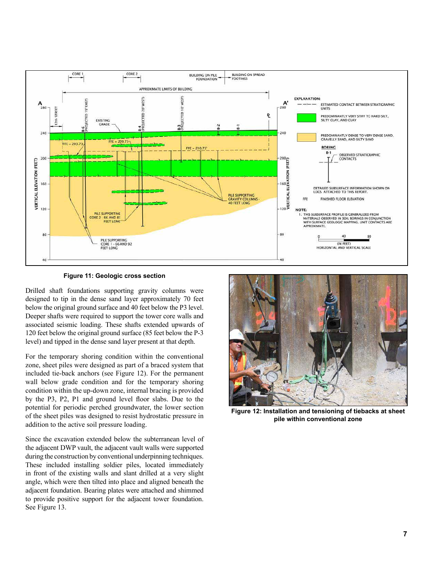

**Figure 11: Geologic cross section**

Drilled shaft foundations supporting gravity columns were designed to tip in the dense sand layer approximately 70 feet below the original ground surface and 40 feet below the P3 level. Deeper shafts were required to support the tower core walls and associated seismic loading. These shafts extended upwards of 120 feet below the original ground surface (85 feet below the P-3 level) and tipped in the dense sand layer present at that depth.

For the temporary shoring condition within the conventional zone, sheet piles were designed as part of a braced system that included tie-back anchors (see Figure 12). For the permanent wall below grade condition and for the temporary shoring condition within the up-down zone, internal bracing is provided by the P3, P2, P1 and ground level floor slabs. Due to the potential for periodic perched groundwater, the lower section of the sheet piles was designed to resist hydrostatic pressure in addition to the active soil pressure loading.

Since the excavation extended below the subterranean level of the adjacent DWP vault, the adjacent vault walls were supported during the construction by conventional underpinning techniques. These included installing soldier piles, located immediately in front of the existing walls and slant drilled at a very slight angle, which were then tilted into place and aligned beneath the adjacent foundation. Bearing plates were attached and shimmed to provide positive support for the adjacent tower foundation. See Figure 13.



**Figure 12: Installation and tensioning of tiebacks at sheet pile within conventional zone**